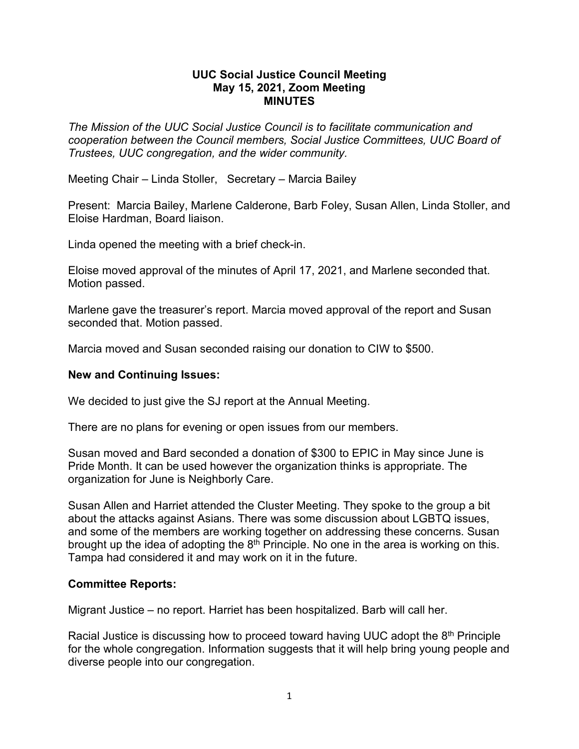## **UUC Social Justice Council Meeting May 15, 2021, Zoom Meeting MINUTES**

*The Mission of the UUC Social Justice Council is to facilitate communication and cooperation between the Council members, Social Justice Committees, UUC Board of Trustees, UUC congregation, and the wider community.*

Meeting Chair – Linda Stoller, Secretary – Marcia Bailey

Present: Marcia Bailey, Marlene Calderone, Barb Foley, Susan Allen, Linda Stoller, and Eloise Hardman, Board liaison.

Linda opened the meeting with a brief check-in.

Eloise moved approval of the minutes of April 17, 2021, and Marlene seconded that. Motion passed.

Marlene gave the treasurer's report. Marcia moved approval of the report and Susan seconded that. Motion passed.

Marcia moved and Susan seconded raising our donation to CIW to \$500.

## **New and Continuing Issues:**

We decided to just give the SJ report at the Annual Meeting.

There are no plans for evening or open issues from our members.

Susan moved and Bard seconded a donation of \$300 to EPIC in May since June is Pride Month. It can be used however the organization thinks is appropriate. The organization for June is Neighborly Care.

Susan Allen and Harriet attended the Cluster Meeting. They spoke to the group a bit about the attacks against Asians. There was some discussion about LGBTQ issues, and some of the members are working together on addressing these concerns. Susan brought up the idea of adopting the  $8<sup>th</sup>$  Principle. No one in the area is working on this. Tampa had considered it and may work on it in the future.

## **Committee Reports:**

Migrant Justice – no report. Harriet has been hospitalized. Barb will call her.

Racial Justice is discussing how to proceed toward having UUC adopt the 8<sup>th</sup> Principle for the whole congregation. Information suggests that it will help bring young people and diverse people into our congregation.